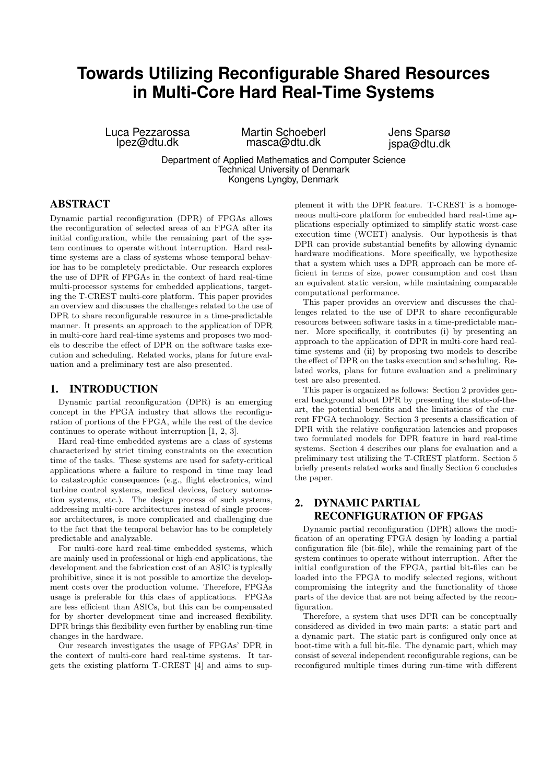# **Towards Utilizing Reconfigurable Shared Resources in Multi-Core Hard Real-Time Systems**

Luca Pezzarossa lpez@dtu.dk

Martin Schoeberl masca@dtu.dk

Jens Sparsø jspa@dtu.dk

Department of Applied Mathematics and Computer Science Technical University of Denmark Kongens Lyngby, Denmark

## ABSTRACT

Dynamic partial reconfiguration (DPR) of FPGAs allows the reconfiguration of selected areas of an FPGA after its initial configuration, while the remaining part of the system continues to operate without interruption. Hard realtime systems are a class of systems whose temporal behavior has to be completely predictable. Our research explores the use of DPR of FPGAs in the context of hard real-time multi-processor systems for embedded applications, targeting the T-CREST multi-core platform. This paper provides an overview and discusses the challenges related to the use of DPR to share reconfigurable resource in a time-predictable manner. It presents an approach to the application of DPR in multi-core hard real-time systems and proposes two models to describe the effect of DPR on the software tasks execution and scheduling. Related works, plans for future evaluation and a preliminary test are also presented.

### 1. INTRODUCTION

Dynamic partial reconfiguration (DPR) is an emerging concept in the FPGA industry that allows the reconfiguration of portions of the FPGA, while the rest of the device continues to operate without interruption [1, 2, 3].

Hard real-time embedded systems are a class of systems characterized by strict timing constraints on the execution time of the tasks. These systems are used for safety-critical applications where a failure to respond in time may lead to catastrophic consequences (e.g., flight electronics, wind turbine control systems, medical devices, factory automation systems, etc.). The design process of such systems, addressing multi-core architectures instead of single processor architectures, is more complicated and challenging due to the fact that the temporal behavior has to be completely predictable and analyzable.

For multi-core hard real-time embedded systems, which are mainly used in professional or high-end applications, the development and the fabrication cost of an ASIC is typically prohibitive, since it is not possible to amortize the development costs over the production volume. Therefore, FPGAs usage is preferable for this class of applications. FPGAs are less efficient than ASICs, but this can be compensated for by shorter development time and increased flexibility. DPR brings this flexibility even further by enabling run-time changes in the hardware.

Our research investigates the usage of FPGAs' DPR in the context of multi-core hard real-time systems. It targets the existing platform T-CREST [4] and aims to sup-

plement it with the DPR feature. T-CREST is a homogeneous multi-core platform for embedded hard real-time applications especially optimized to simplify static worst-case execution time (WCET) analysis. Our hypothesis is that DPR can provide substantial benefits by allowing dynamic hardware modifications. More specifically, we hypothesize that a system which uses a DPR approach can be more efficient in terms of size, power consumption and cost than an equivalent static version, while maintaining comparable computational performance.

This paper provides an overview and discusses the challenges related to the use of DPR to share reconfigurable resources between software tasks in a time-predictable manner. More specifically, it contributes (i) by presenting an approach to the application of DPR in multi-core hard realtime systems and (ii) by proposing two models to describe the effect of DPR on the tasks execution and scheduling. Related works, plans for future evaluation and a preliminary test are also presented.

This paper is organized as follows: Section 2 provides general background about DPR by presenting the state-of-theart, the potential benefits and the limitations of the current FPGA technology. Section 3 presents a classification of DPR with the relative configuration latencies and proposes two formulated models for DPR feature in hard real-time systems. Section 4 describes our plans for evaluation and a preliminary test utilizing the T-CREST platform. Section 5 briefly presents related works and finally Section 6 concludes the paper.

## 2. DYNAMIC PARTIAL RECONFIGURATION OF FPGAS

Dynamic partial reconfiguration (DPR) allows the modification of an operating FPGA design by loading a partial configuration file (bit-file), while the remaining part of the system continues to operate without interruption. After the initial configuration of the FPGA, partial bit-files can be loaded into the FPGA to modify selected regions, without compromising the integrity and the functionality of those parts of the device that are not being affected by the reconfiguration.

Therefore, a system that uses DPR can be conceptually considered as divided in two main parts: a static part and a dynamic part. The static part is configured only once at boot-time with a full bit-file. The dynamic part, which may consist of several independent reconfigurable regions, can be reconfigured multiple times during run-time with different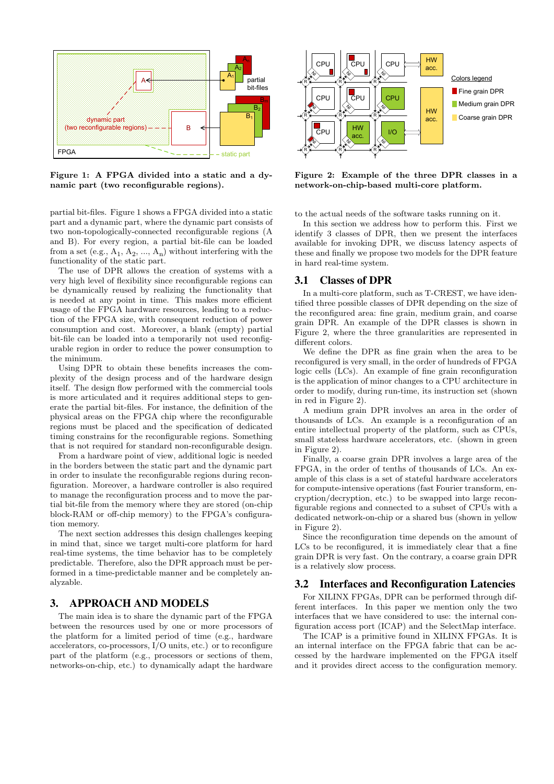

Figure 1: A FPGA divided into a static and a dynamic part (two reconfigurable regions).

partial bit-files. Figure 1 shows a FPGA divided into a static part and a dynamic part, where the dynamic part consists of two non-topologically-connected reconfigurable regions (A and B). For every region, a partial bit-file can be loaded from a set (e.g.,  $A_1$ ,  $A_2$ , ...,  $A_n$ ) without interfering with the functionality of the static part.

The use of DPR allows the creation of systems with a very high level of flexibility since reconfigurable regions can be dynamically reused by realizing the functionality that is needed at any point in time. This makes more efficient usage of the FPGA hardware resources, leading to a reduction of the FPGA size, with consequent reduction of power consumption and cost. Moreover, a blank (empty) partial bit-file can be loaded into a temporarily not used reconfigurable region in order to reduce the power consumption to the minimum.

Using DPR to obtain these benefits increases the complexity of the design process and of the hardware design itself. The design flow performed with the commercial tools is more articulated and it requires additional steps to generate the partial bit-files. For instance, the definition of the physical areas on the FPGA chip where the reconfigurable regions must be placed and the specification of dedicated timing constrains for the reconfigurable regions. Something that is not required for standard non-reconfigurable design.

From a hardware point of view, additional logic is needed in the borders between the static part and the dynamic part in order to insulate the reconfigurable regions during reconfiguration. Moreover, a hardware controller is also required to manage the reconfiguration process and to move the partial bit-file from the memory where they are stored (on-chip block-RAM or off-chip memory) to the FPGA's configuration memory.

The next section addresses this design challenges keeping in mind that, since we target multi-core platform for hard real-time systems, the time behavior has to be completely predictable. Therefore, also the DPR approach must be performed in a time-predictable manner and be completely analyzable.

## 3. APPROACH AND MODELS

The main idea is to share the dynamic part of the FPGA between the resources used by one or more processors of the platform for a limited period of time (e.g., hardware accelerators, co-processors, I/O units, etc.) or to reconfigure part of the platform (e.g., processors or sections of them, networks-on-chip, etc.) to dynamically adapt the hardware



Figure 2: Example of the three DPR classes in a network-on-chip-based multi-core platform.

to the actual needs of the software tasks running on it.

In this section we address how to perform this. First we identify 3 classes of DPR, then we present the interfaces available for invoking DPR, we discuss latency aspects of these and finally we propose two models for the DPR feature in hard real-time system.

#### 3.1 Classes of DPR

In a multi-core platform, such as T-CREST, we have identified three possible classes of DPR depending on the size of the reconfigured area: fine grain, medium grain, and coarse grain DPR. An example of the DPR classes is shown in Figure 2, where the three granularities are represented in different colors.

We define the DPR as fine grain when the area to be reconfigured is very small, in the order of hundreds of FPGA logic cells (LCs). An example of fine grain reconfiguration is the application of minor changes to a CPU architecture in order to modify, during run-time, its instruction set (shown in red in Figure 2).

A medium grain DPR involves an area in the order of thousands of LCs. An example is a reconfiguration of an entire intellectual property of the platform, such as CPUs, small stateless hardware accelerators, etc. (shown in green in Figure 2).

Finally, a coarse grain DPR involves a large area of the FPGA, in the order of tenths of thousands of LCs. An example of this class is a set of stateful hardware accelerators for compute-intensive operations (fast Fourier transform, encryption/decryption, etc.) to be swapped into large reconfigurable regions and connected to a subset of CPUs with a dedicated network-on-chip or a shared bus (shown in yellow in Figure 2).

Since the reconfiguration time depends on the amount of LCs to be reconfigured, it is immediately clear that a fine grain DPR is very fast. On the contrary, a coarse grain DPR is a relatively slow process.

## 3.2 Interfaces and Reconfiguration Latencies

For XILINX FPGAs, DPR can be performed through different interfaces. In this paper we mention only the two interfaces that we have considered to use: the internal configuration access port (ICAP) and the SelectMap interface.

The ICAP is a primitive found in XILINX FPGAs. It is an internal interface on the FPGA fabric that can be accessed by the hardware implemented on the FPGA itself and it provides direct access to the configuration memory.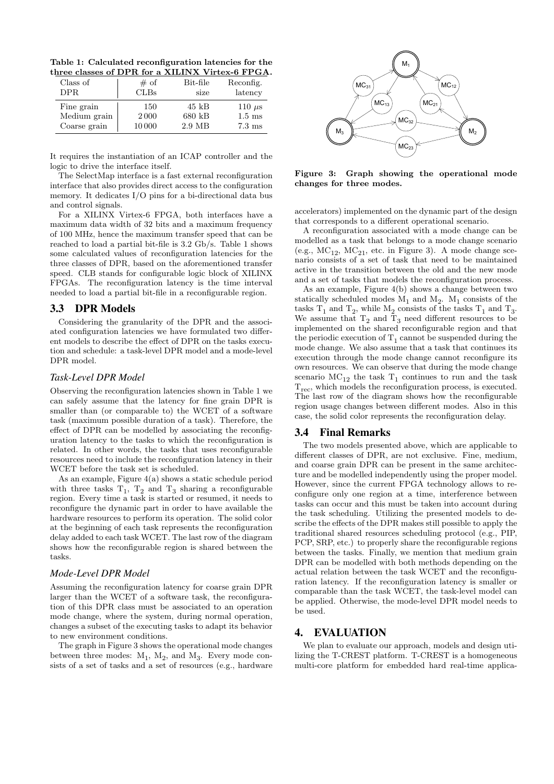Table 1: Calculated reconfiguration latencies for the three classes of DPR for a XILINX Virtex-6 FPGA.

| Class of<br>DPR. | # of<br>CLBs | Bit-file<br>size | Reconfig.<br>latency |
|------------------|--------------|------------------|----------------------|
| Fine grain       | 150          | 45 kB            | 110 $\mu$ s          |
| Medium grain     | 2000         | 680 kB           | $1.5 \text{ ms}$     |
| Coarse grain     | 10000        | 2.9 MB           | $7.3 \text{ ms}$     |

It requires the instantiation of an ICAP controller and the logic to drive the interface itself.

The SelectMap interface is a fast external reconfiguration interface that also provides direct access to the configuration memory. It dedicates I/O pins for a bi-directional data bus and control signals.

For a XILINX Virtex-6 FPGA, both interfaces have a maximum data width of 32 bits and a maximum frequency of 100 MHz, hence the maximum transfer speed that can be reached to load a partial bit-file is 3.2 Gb/s. Table 1 shows some calculated values of reconfiguration latencies for the three classes of DPR, based on the aforementioned transfer speed. CLB stands for configurable logic block of XILINX FPGAs. The reconfiguration latency is the time interval needed to load a partial bit-file in a reconfigurable region.

#### 3.3 DPR Models

Considering the granularity of the DPR and the associated configuration latencies we have formulated two different models to describe the effect of DPR on the tasks execution and schedule: a task-level DPR model and a mode-level DPR model.

#### *Task-Level DPR Model*

Observing the reconfiguration latencies shown in Table 1 we can safely assume that the latency for fine grain DPR is smaller than (or comparable to) the WCET of a software task (maximum possible duration of a task). Therefore, the effect of DPR can be modelled by associating the reconfiguration latency to the tasks to which the reconfiguration is related. In other words, the tasks that uses reconfigurable resources need to include the reconfiguration latency in their WCET before the task set is scheduled.

As an example, Figure 4(a) shows a static schedule period with three tasks  $T_1$ ,  $T_2$  and  $T_3$  sharing a reconfigurable region. Every time a task is started or resumed, it needs to reconfigure the dynamic part in order to have available the hardware resources to perform its operation. The solid color at the beginning of each task represents the reconfiguration delay added to each task WCET. The last row of the diagram shows how the reconfigurable region is shared between the tasks.

#### *Mode-Level DPR Model*

Assuming the reconfiguration latency for coarse grain DPR larger than the WCET of a software task, the reconfiguration of this DPR class must be associated to an operation mode change, where the system, during normal operation, changes a subset of the executing tasks to adapt its behavior to new environment conditions.

The graph in Figure 3 shows the operational mode changes between three modes:  $M_1$ ,  $M_2$ , and  $M_3$ . Every mode con-



Figure 3: Graph showing the operational mode changes for three modes.

accelerators) implemented on the dynamic part of the design that corresponds to a different operational scenario.

A reconfiguration associated with a mode change can be modelled as a task that belongs to a mode change scenario (e.g.,  $MC_{12}$ ,  $MC_{21}$ , etc. in Figure 3). A mode change scenario consists of a set of task that need to be maintained active in the transition between the old and the new mode and a set of tasks that models the reconfiguration process.

As an example, Figure 4(b) shows a change between two statically scheduled modes  $M_1$  and  $M_2$ .  $M_1$  consists of the tasks  $T_1$  and  $T_2$ , while  $M_2$  consists of the tasks  $T_1$  and  $T_3$ . We assume that  $T_2$  and  $T_3$  need different resources to be implemented on the shared reconfigurable region and that the periodic execution of  $T_1$  cannot be suspended during the mode change. We also assume that a task that continues its execution through the mode change cannot reconfigure its own resources. We can observe that during the mode change scenario  $MC_{12}$  the task  $T_1$  continues to run and the task  $T_{rec}$ , which models the reconfiguration process, is executed. The last row of the diagram shows how the reconfigurable region usage changes between different modes. Also in this case, the solid color represents the reconfiguration delay.

## 3.4 Final Remarks

The 11 Columnistic interest in the column is the set of resources (e.g., hardware in the set of resources (e.g., hardware in the set of resources (e.g., hardware the set of resources (e.g., hardware the set of resources ( The two models presented above, which are applicable to different classes of DPR, are not exclusive. Fine, medium, and coarse grain DPR can be present in the same architecture and be modelled independently using the proper model. However, since the current FPGA technology allows to reconfigure only one region at a time, interference between tasks can occur and this must be taken into account during the task scheduling. Utilizing the presented models to describe the effects of the DPR makes still possible to apply the traditional shared resources scheduling protocol (e.g., PIP, PCP, SRP, etc.) to properly share the reconfigurable regions between the tasks. Finally, we mention that medium grain DPR can be modelled with both methods depending on the actual relation between the task WCET and the reconfiguration latency. If the reconfiguration latency is smaller or comparable than the task WCET, the task-level model can be applied. Otherwise, the mode-level DPR model needs to be used.

## 4. EVALUATION

We plan to evaluate our approach, models and design utilizing the T-CREST platform. T-CREST is a homogeneous multi-core platform for embedded hard real-time applica-